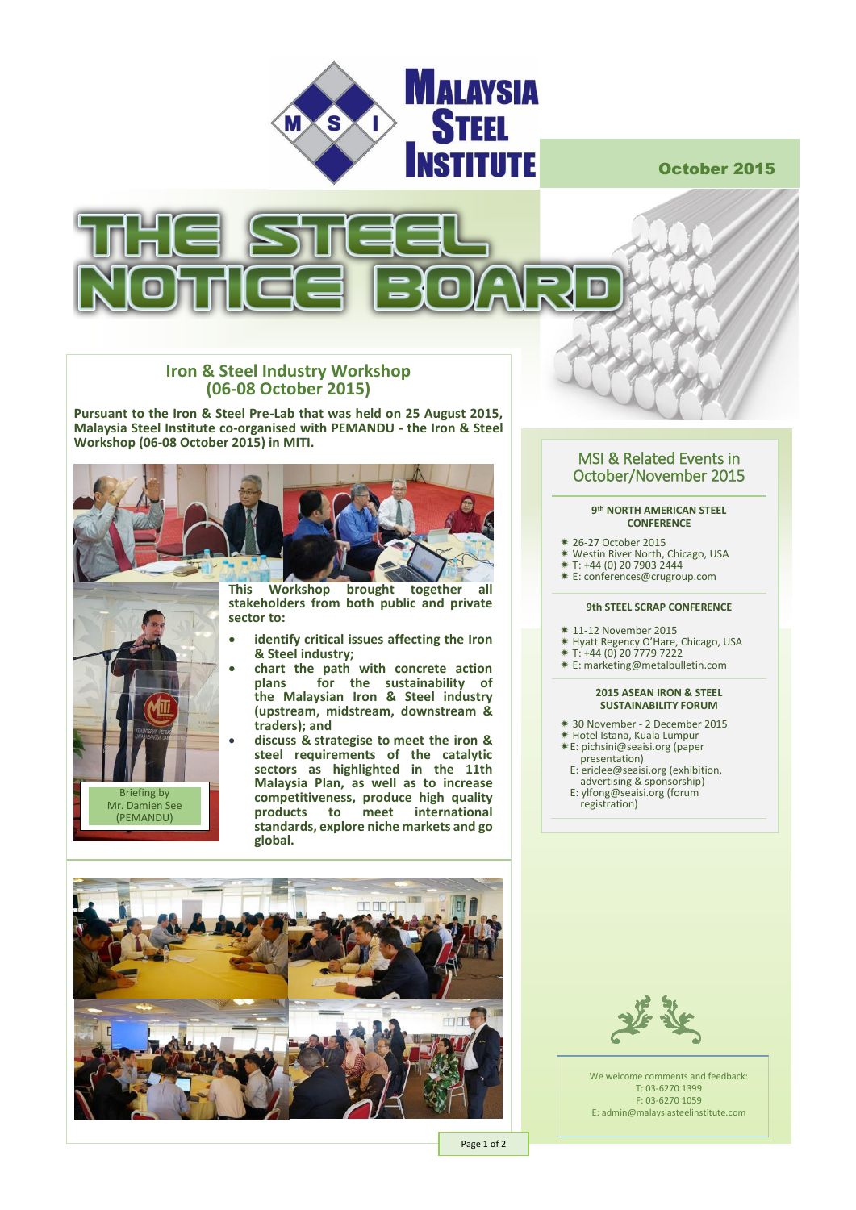

October 2015



## **Iron & Steel Industry Workshop (06-08 October 2015)**

**Pursuant to the Iron & Steel Pre-Lab that was held on 25 August 2015, Malaysia Steel Institute co-organised with PEMANDU - the Iron & Steel Workshop (06-08 October 2015) in MITI.** 





**This Workshop brought together all stakeholders from both public and private sector to:**

- **identify critical issues affecting the Iron & Steel industry;**
- **chart the path with concrete action plans for the sustainability of the Malaysian Iron & Steel industry (upstream, midstream, downstream & traders); and**
	- **discuss & strategise to meet the iron & steel requirements of the catalytic sectors as highlighted in the 11th Malaysia Plan, as well as to increase competitiveness, produce high quality products to meet international standards, explore niche markets and go global.**



We welcome comments and feedback: T: 03-6270 1399 F: 03-6270 1059 E: admin@malaysiasteelinstitute.com

## MSI & Related Events in October/November 2015

### **9 th NORTH AMERICAN STEEL CONFERENCE**

- 26-27 October 2015
- Westin River North, Chicago, USA
- $*$  T: +44 (0) 20 7903 2444
- E[: conferences@crugroup.c](mailto:cenica@fmm.org.my)om

## **9th STEEL SCRAP CONFERENCE**

- 11-12 November 2015
- **EXAGGE AND CONSTRUCT**<br>**\*** Hyatt Regency O'Hare, Chicago, USA
- T: +44 (0) 20 7779 7222
- E[: marketing@metalbulletin.com](mailto:marketing@metalbulletin.com)

### **2015 ASEAN IRON & STEEL SUSTAINABILITY FORUM**

- 30 November 2 December 2015 Hotel Istana, Kuala Lumpur
- 
- E[: pichsini@seaisi.org](mailto:pichsini@seaisi.org) (paper
- presentation)
- E[: ericlee@seaisi.org](mailto:ericlee@seaisi.org) (exhibition, advertising & sponsorship)
- E[: ylfong@seaisi.org](mailto:ylfong@seaisi.org) (forum
- registration)